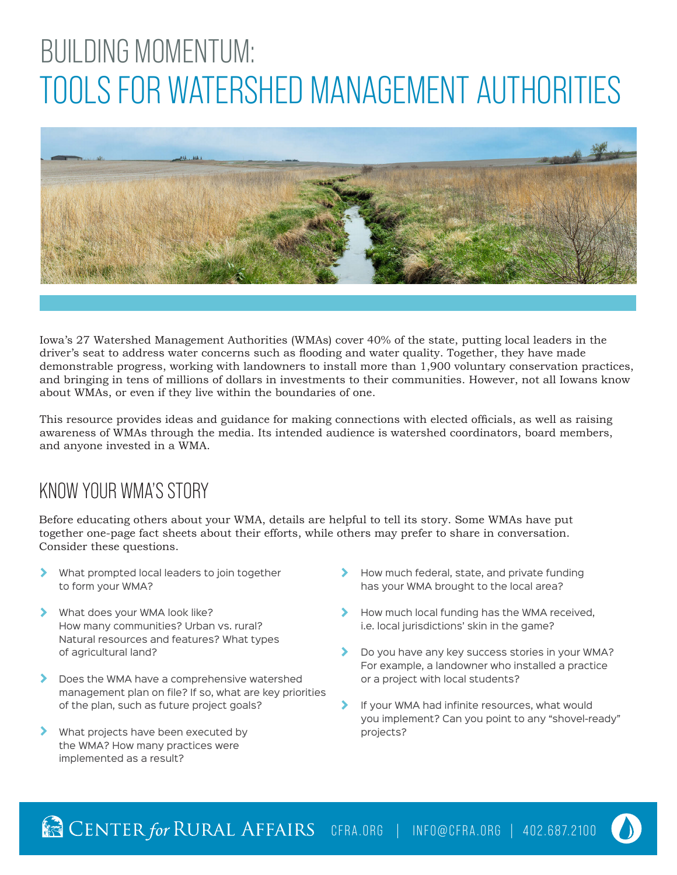# BUILDING MOMENTUM: TOOLS FOR WATERSHED MANAGEMENT AUTHORITIES



Iowa's 27 Watershed Management Authorities (WMAs) cover 40% of the state, putting local leaders in the driver's seat to address water concerns such as flooding and water quality. Together, they have made demonstrable progress, working with landowners to install more than 1,900 voluntary conservation practices, and bringing in tens of millions of dollars in investments to their communities. However, not all Iowans know about WMAs, or even if they live within the boundaries of one.

This resource provides ideas and guidance for making connections with elected officials, as well as raising awareness of WMAs through the media. Its intended audience is watershed coordinators, board members, and anyone invested in a WMA.

### KNOW YOUR WMA'S STORY

Before educating others about your WMA, details are helpful to tell its story. Some WMAs have put together one-page fact sheets about their efforts, while others may prefer to share in conversation. Consider these questions.

- What prompted local leaders to join together to form your WMA?
- X What does your WMA look like? How many communities? Urban vs. rural? Natural resources and features? What types of agricultural land?
- ⋟ Does the WMA have a comprehensive watershed management plan on file? If so, what are key priorities of the plan, such as future project goals?
- ⋟ What projects have been executed by the WMA? How many practices were implemented as a result?
- How much federal, state, and private funding has your WMA brought to the local area?
- How much local funding has the WMA received, i.e. local jurisdictions' skin in the game?
- $\blacktriangleright$ Do you have any key success stories in your WMA? For example, a landowner who installed a practice or a project with local students?
- If your WMA had infinite resources, what would you implement? Can you point to any "shovel-ready" projects?